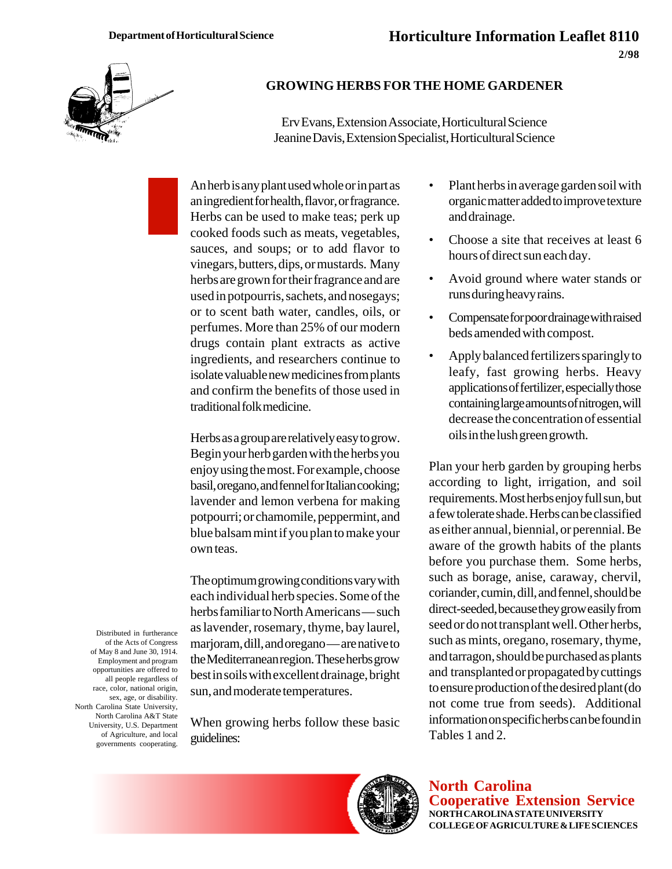

## **GROWING HERBS FOR THE HOME GARDENER**

Erv Evans, Extension Associate, Horticultural Science Jeanine Davis, Extension Specialist, Horticultural Science

An herb is any plant used whole or in part as an ingredient for health, flavor, or fragrance. Herbs can be used to make teas; perk up cooked foods such as meats, vegetables, sauces, and soups; or to add flavor to vinegars, butters, dips, or mustards. Many herbs are grown for their fragrance and are used in potpourris, sachets, and nosegays; or to scent bath water, candles, oils, or perfumes. More than 25% of our modern drugs contain plant extracts as active ingredients, and researchers continue to isolate valuable new medicines from plants and confirm the benefits of those used in traditional folk medicine.

Herbs as a group are relatively easy to grow. Begin your herb garden with the herbs you enjoy using the most. For example, choose basil, oregano, and fennel for Italian cooking; lavender and lemon verbena for making potpourri; or chamomile, peppermint, and blue balsam mint if you plan to make your own teas.

The optimum growing conditions vary with each individual herb species. Some of the herbs familiar to North Americans — such as lavender, rosemary, thyme, bay laurel, marjoram, dill, and oregano — are native to the Mediterranean region. These herbs grow best in soils with excellent drainage, bright sun, and moderate temperatures.

When growing herbs follow these basic guidelines:

- Plant herbs in average garden soil with organic matter added to improve texture and drainage.
- Choose a site that receives at least 6 hours of direct sun each day.
- Avoid ground where water stands or runs during heavy rains.
- Compensate for poor drainage with raised beds amended with compost.
- Apply balanced fertilizers sparingly to leafy, fast growing herbs. Heavy applications of fertilizer, especially those containing large amounts of nitrogen, will decrease the concentration of essential oils in the lush green growth.

Plan your herb garden by grouping herbs according to light, irrigation, and soil requirements. Most herbs enjoy full sun, but a few tolerate shade. Herbs can be classified as either annual, biennial, or perennial. Be aware of the growth habits of the plants before you purchase them. Some herbs, such as borage, anise, caraway, chervil, coriander, cumin, dill, and fennel, should be direct-seeded, because they grow easily from seed or do not transplant well. Other herbs, such as mints, oregano, rosemary, thyme, and tarragon, should be purchased as plants and transplanted or propagated by cuttings to ensure production of the desired plant (do not come true from seeds). Additional information on specific herbs can be found in Tables 1 and 2.



Distributed in furtherance of the Acts of Congress of May 8 and June 30, 1914. Employment and program opportunities are offered to all people regardless of race, color, national origin, sex, age, or disability. North Carolina State University, North Carolina A&T State University, U.S. Department of Agriculture, and local governments cooperating.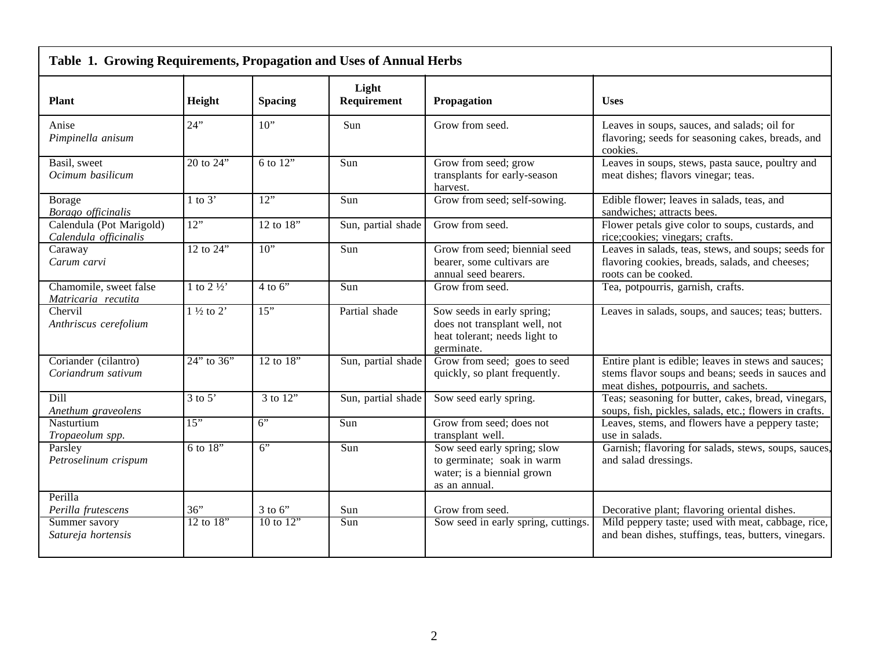| Table 1. Growing Requirements, Propagation and Uses of Annual Herbs |                                      |                 |                      |                                                                                                            |                                                                                                                                                   |
|---------------------------------------------------------------------|--------------------------------------|-----------------|----------------------|------------------------------------------------------------------------------------------------------------|---------------------------------------------------------------------------------------------------------------------------------------------------|
| <b>Plant</b>                                                        | Height                               | <b>Spacing</b>  | Light<br>Requirement | Propagation                                                                                                | <b>Uses</b>                                                                                                                                       |
| Anise<br>Pimpinella anisum                                          | 24"                                  | $10$ "          | Sun                  | Grow from seed.                                                                                            | Leaves in soups, sauces, and salads; oil for<br>flavoring; seeds for seasoning cakes, breads, and<br>cookies.                                     |
| Basil, sweet<br>Ocimum basilicum                                    | $\overline{20}$ to $\overline{24}$ " | $6$ to $12"$    | Sun                  | Grow from seed; grow<br>transplants for early-season<br>harvest.                                           | Leaves in soups, stews, pasta sauce, poultry and<br>meat dishes; flavors vinegar; teas.                                                           |
| Borage<br>Borago officinalis                                        | $1$ to $3'$                          | $\overline{12}$ | Sun                  | Grow from seed; self-sowing.                                                                               | Edible flower; leaves in salads, teas, and<br>sandwiches; attracts bees.                                                                          |
| Calendula (Pot Marigold)<br>Calendula officinalis                   | 12"                                  | 12 to 18"       | Sun, partial shade   | Grow from seed.                                                                                            | Flower petals give color to soups, custards, and<br>rice;cookies; vinegars; crafts.                                                               |
| Caraway<br>Carum carvi                                              | $\overline{12}$ to $\overline{24}$ " | $\overline{10}$ | Sun                  | Grow from seed; biennial seed<br>bearer, some cultivars are<br>annual seed bearers.                        | Leaves in salads, teas, stews, and soups; seeds for<br>flavoring cookies, breads, salads, and cheeses;<br>roots can be cooked.                    |
| Chamomile, sweet false<br>Matricaria recutita                       | 1 to $2\frac{1}{2}$                  | $4$ to 6"       | $\overline{S}$ un    | Grow from seed.                                                                                            | Tea, potpourris, garnish, crafts.                                                                                                                 |
| Chervil<br>Anthriscus cerefolium                                    | $1\frac{1}{2}$ to $2$ <sup>*</sup>   | 15"             | Partial shade        | Sow seeds in early spring;<br>does not transplant well, not<br>heat tolerant; needs light to<br>germinate. | Leaves in salads, soups, and sauces; teas; butters.                                                                                               |
| Coriander (cilantro)<br>Coriandrum sativum                          | $24$ " to $36$ "                     | $12$ to $18$ "  | Sun, partial shade   | Grow from seed; goes to seed<br>quickly, so plant frequently.                                              | Entire plant is edible; leaves in stews and sauces;<br>stems flavor soups and beans; seeds in sauces and<br>meat dishes, potpourris, and sachets. |
| Dill<br>Anethum graveolens                                          | $3$ to $5'$                          | 3 to 12"        | Sun, partial shade   | Sow seed early spring.                                                                                     | Teas; seasoning for butter, cakes, bread, vinegars,<br>soups, fish, pickles, salads, etc.; flowers in crafts.                                     |
| Nasturtium<br>Tropaeolum spp.                                       | 15"                                  | 6"              | Sun                  | Grow from seed; does not<br>transplant well.                                                               | Leaves, stems, and flowers have a peppery taste;<br>use in salads.                                                                                |
| Parsley<br>Petroselinum crispum                                     | 6 to 18"                             | 6"              | Sun                  | Sow seed early spring; slow<br>to germinate; soak in warm<br>water; is a biennial grown<br>as an annual.   | Garnish; flavoring for salads, stews, soups, sauces,<br>and salad dressings.                                                                      |
| Perilla<br>Perilla frutescens                                       | 36"                                  | $3$ to $6$ "    | Sun                  | Grow from seed.                                                                                            | Decorative plant; flavoring oriental dishes.                                                                                                      |
| Summer savory<br>Satureja hortensis                                 | $12$ to $18$ "                       | 10 to $12$ "    | $\overline{S}$ un    | Sow seed in early spring, cuttings.                                                                        | Mild peppery taste; used with meat, cabbage, rice,<br>and bean dishes, stuffings, teas, butters, vinegars.                                        |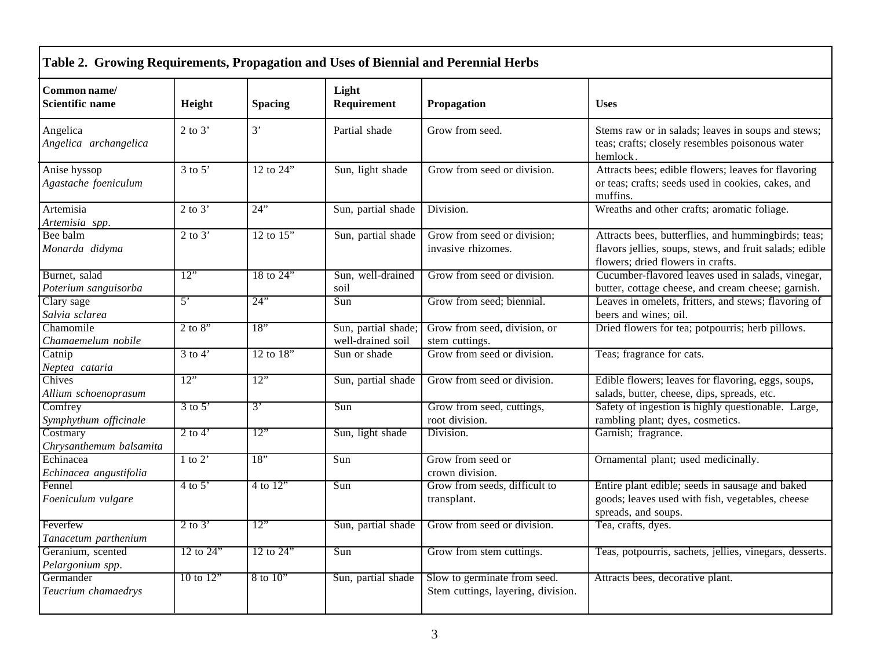| Common name/<br>Scientific name       | Height                           | <b>Spacing</b>                     | Light<br>Requirement                     | Propagation                                                        | <b>Uses</b>                                                                                                                                         |
|---------------------------------------|----------------------------------|------------------------------------|------------------------------------------|--------------------------------------------------------------------|-----------------------------------------------------------------------------------------------------------------------------------------------------|
| Angelica<br>Angelica archangelica     | 2 to $3'$                        | 3'                                 | Partial shade                            | Grow from seed.                                                    | Stems raw or in salads; leaves in soups and stews;<br>teas; crafts; closely resembles poisonous water<br>hemlock.                                   |
| Anise hyssop<br>Agastache foeniculum  | $3$ to $5'$                      | 12 to 24"                          | Sun, light shade                         | Grow from seed or division.                                        | Attracts bees; edible flowers; leaves for flavoring<br>or teas; crafts; seeds used in cookies, cakes, and<br>muffins.                               |
| Artemisia<br>Artemisia spp.           | 2 to $3'$                        | 24"                                | Sun, partial shade                       | Division.                                                          | Wreaths and other crafts; aromatic foliage.                                                                                                         |
| Bee balm<br>Monarda didyma            | $\overline{2}$ to $\overline{3}$ | $\overline{12}$ to $\overline{15}$ | Sun, partial shade                       | Grow from seed or division;<br>invasive rhizomes.                  | Attracts bees, butterflies, and hummingbirds; teas;<br>flavors jellies, soups, stews, and fruit salads; edible<br>flowers; dried flowers in crafts. |
| Burnet, salad<br>Poterium sanguisorba | 12"                              | 18 to $24"$                        | Sun, well-drained<br>soil                | Grow from seed or division.                                        | Cucumber-flavored leaves used in salads, vinegar,<br>butter, cottage cheese, and cream cheese; garnish.                                             |
| Clary sage<br>Salvia sclarea          | $\overline{5}$                   | 24"                                | Sun                                      | Grow from seed; biennial.                                          | Leaves in omelets, fritters, and stews; flavoring of<br>beers and wines; oil.                                                                       |
| Chamomile<br>Chamaemelum nobile       | $2 \text{ to } 8$                | $\overline{18}$                    | Sun, partial shade;<br>well-drained soil | Grow from seed, division, or<br>stem cuttings.                     | Dried flowers for tea; potpourris; herb pillows.                                                                                                    |
| Catnip<br>Neptea cataria              | $3$ to $4'$                      | $12$ to $18"$                      | Sun or shade                             | Grow from seed or division.                                        | Teas; fragrance for cats.                                                                                                                           |
| Chives<br>Allium schoenoprasum        | 12"                              | 12"                                | Sun, partial shade                       | Grow from seed or division.                                        | Edible flowers; leaves for flavoring, eggs, soups,<br>salads, butter, cheese, dips, spreads, etc.                                                   |
| Comfrey<br>Symphythum officinale      | $3$ to $5'$                      | $\mathcal{E}$                      | Sun                                      | Grow from seed, cuttings,<br>root division.                        | Safety of ingestion is highly questionable. Large,<br>rambling plant; dyes, cosmetics.                                                              |
| Costmary<br>Chrysanthemum balsamita   | $2$ to 4'                        | 12"                                | Sun, light shade                         | Division.                                                          | Garnish; fragrance.                                                                                                                                 |
| Echinacea<br>Echinacea angustifolia   | $1$ to $2'$                      | 18"                                | Sun                                      | Grow from seed or<br>crown division.                               | Ornamental plant; used medicinally.                                                                                                                 |
| Fennel<br>Foeniculum vulgare          | $4$ to 5'                        | 4 to $12$ "                        | Sun                                      | Grow from seeds, difficult to<br>transplant.                       | Entire plant edible; seeds in sausage and baked<br>goods; leaves used with fish, vegetables, cheese<br>spreads, and soups.                          |
| Feverfew<br>Tanacetum parthenium      | $2$ to $3'$                      | 12"                                | Sun, partial shade                       | Grow from seed or division.                                        | Tea, crafts, dyes.                                                                                                                                  |
| Geranium, scented<br>Pelargonium spp. | $12$ to $24'$                    | $12$ to $24$ "                     | Sun                                      | Grow from stem cuttings.                                           | Teas, potpourris, sachets, jellies, vinegars, desserts.                                                                                             |
| Germander<br>Teucrium chamaedrys      | $10$ to $12$ <sup>*</sup>        | $8$ to $10$ <sup>"</sup>           | Sun, partial shade                       | Slow to germinate from seed.<br>Stem cuttings, layering, division. | Attracts bees, decorative plant.                                                                                                                    |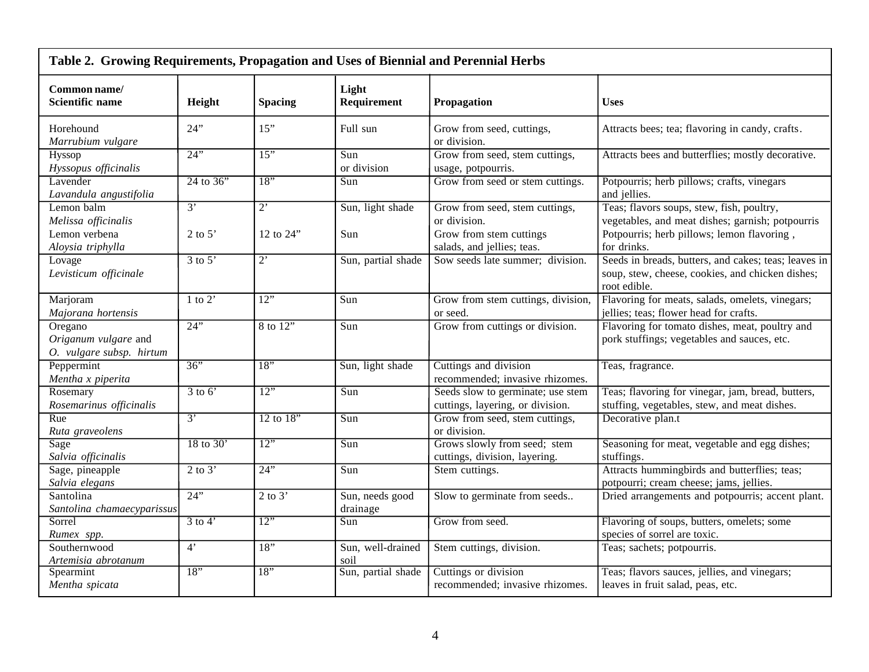| Table 2. Growing Requirements, Propagation and Uses of Biennial and Perennial Herbs |                                  |                                    |                             |                                                                       |                                                                                                                          |
|-------------------------------------------------------------------------------------|----------------------------------|------------------------------------|-----------------------------|-----------------------------------------------------------------------|--------------------------------------------------------------------------------------------------------------------------|
| Common name/<br><b>Scientific name</b>                                              | Height                           | <b>Spacing</b>                     | Light<br>Requirement        | Propagation                                                           | <b>Uses</b>                                                                                                              |
| Horehound<br>Marrubium vulgare                                                      | 24"                              | 15"                                | Full sun                    | Grow from seed, cuttings,<br>or division.                             | Attracts bees; tea; flavoring in candy, crafts.                                                                          |
| Hyssop<br>Hyssopus officinalis                                                      | $24$ "                           | $\overline{15"}$                   | Sun<br>or division          | Grow from seed, stem cuttings,<br>usage, potpourris.                  | Attracts bees and butterflies; mostly decorative.                                                                        |
| Lavender<br>Lavandula angustifolia                                                  | $24$ to $36"$                    | 18"                                | Sun                         | Grow from seed or stem cuttings.                                      | Potpourris; herb pillows; crafts, vinegars<br>and jellies.                                                               |
| Lemon balm<br>Melissa officinalis                                                   | $\overline{3}$                   | $\overline{2}$                     | Sun, light shade            | Grow from seed, stem cuttings,<br>or division.                        | Teas; flavors soups, stew, fish, poultry,<br>vegetables, and meat dishes; garnish; potpourris                            |
| Lemon verbena<br>Aloysia triphylla                                                  | 2 to 5'                          | 12 to 24"                          | Sun                         | Grow from stem cuttings<br>salads, and jellies; teas.                 | Potpourris; herb pillows; lemon flavoring,<br>for drinks.                                                                |
| Lovage<br>Levisticum officinale                                                     | $\overline{3}$ to $\overline{5}$ | $\overline{2}$                     | Sun, partial shade          | Sow seeds late summer; division.                                      | Seeds in breads, butters, and cakes; teas; leaves in<br>soup, stew, cheese, cookies, and chicken dishes;<br>root edible. |
| Marjoram<br>Majorana hortensis                                                      | 1 to 2'                          | $\overline{12}$                    | Sun                         | Grow from stem cuttings, division,<br>or seed.                        | Flavoring for meats, salads, omelets, vinegars;<br>jellies; teas; flower head for crafts.                                |
| Oregano<br>Origanum vulgare and<br>O. vulgare subsp. hirtum                         | $24$ "                           | 8 to 12"                           | Sun                         | Grow from cuttings or division.                                       | Flavoring for tomato dishes, meat, poultry and<br>pork stuffings; vegetables and sauces, etc.                            |
| Peppermint<br>Mentha x piperita                                                     | 36"                              | $\overline{18}$                    | Sun, light shade            | Cuttings and division<br>recommended; invasive rhizomes.              | Teas, fragrance.                                                                                                         |
| Rosemary<br>Rosemarinus officinalis                                                 | $3$ to $6'$                      | $\overline{12}$                    | Sun                         | Seeds slow to germinate; use stem<br>cuttings, layering, or division. | Teas; flavoring for vinegar, jam, bread, butters,<br>stuffing, vegetables, stew, and meat dishes.                        |
| Rue<br>Ruta graveolens                                                              | $\overline{3}$                   | $12$ to $18"$                      | Sun                         | Grow from seed, stem cuttings,<br>or division.                        | Decorative plan.t                                                                                                        |
| Sage<br>Salvia officinalis                                                          | $18$ to $30'$                    | 12"                                | Sun                         | Grows slowly from seed; stem<br>cuttings, division, layering.         | Seasoning for meat, vegetable and egg dishes;<br>stuffings.                                                              |
| Sage, pineapple<br>Salvia elegans                                                   | $2$ to $3'$                      | 24"                                | Sun                         | Stem cuttings.                                                        | Attracts hummingbirds and butterflies; teas;<br>potpourri; cream cheese; jams, jellies.                                  |
| Santolina<br>Santolina chamaecyparissus                                             | $24$ "                           | $\overline{2}$ to $\overline{3}$ ' | Sun, needs good<br>drainage | Slow to germinate from seeds                                          | Dried arrangements and potpourris; accent plant.                                                                         |
| Sorrel<br>Rumex spp.                                                                | $3$ to $4'$                      | $\overline{12}$                    | Sun                         | Grow from seed.                                                       | Flavoring of soups, butters, omelets; some<br>species of sorrel are toxic.                                               |
| Southernwood<br>Artemisia abrotanum                                                 | 4'                               | 18"                                | Sun, well-drained<br>soil   | Stem cuttings, division.                                              | Teas; sachets; potpourris.                                                                                               |
| Spearmint<br>Mentha spicata                                                         | 18"                              | $\overline{18}$                    | Sun, partial shade          | Cuttings or division<br>recommended; invasive rhizomes.               | Teas; flavors sauces, jellies, and vinegars;<br>leaves in fruit salad, peas, etc.                                        |